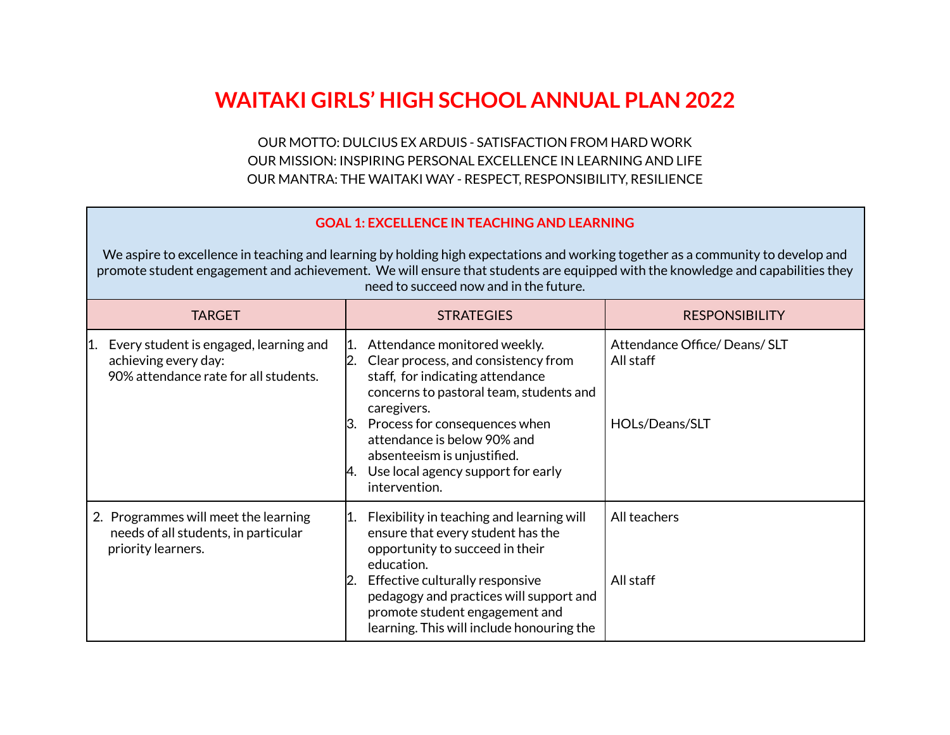## **WAITAKI GIRLS' HIGH SCHOOL ANNUAL PLAN 2022**

OUR MOTTO: DULCIUS EX ARDUIS - SATISFACTION FROM HARD WORK OUR MISSION: INSPIRING PERSONAL EXCELLENCE IN LEARNING AND LIFE OUR MANTRA: THE WAITAKI WAY - RESPECT, RESPONSIBILITY, RESILIENCE

## **GOAL 1: EXCELLENCE IN TEACHING AND LEARNING**

We aspire to excellence in teaching and learning by holding high expectations and working together as a community to develop and promote student engagement and achievement. We will ensure that students are equipped with the knowledge and capabilities they need to succeed now and in the future.

| <b>TARGET</b>                                                                                                  | <b>STRATEGIES</b>                                                                                                                                                                                                                                                                                                                               | <b>RESPONSIBILITY</b>                                      |
|----------------------------------------------------------------------------------------------------------------|-------------------------------------------------------------------------------------------------------------------------------------------------------------------------------------------------------------------------------------------------------------------------------------------------------------------------------------------------|------------------------------------------------------------|
| Every student is engaged, learning and<br>11.<br>achieving every day:<br>90% attendance rate for all students. | Attendance monitored weekly.<br>11.<br>2. Clear process, and consistency from<br>staff, for indicating attendance<br>concerns to pastoral team, students and<br>caregivers.<br>3. Process for consequences when<br>attendance is below 90% and<br>absenteeism is unjustified.<br>$\vert$ 4. Use local agency support for early<br>intervention. | Attendance Office/Deans/SLT<br>All staff<br>HOLs/Deans/SLT |
| 2. Programmes will meet the learning<br>needs of all students, in particular<br>priority learners.             | Flexibility in teaching and learning will<br>11.<br>ensure that every student has the<br>opportunity to succeed in their<br>education.<br>2. Effective culturally responsive<br>pedagogy and practices will support and<br>promote student engagement and<br>learning. This will include honouring the                                          | All teachers<br>All staff                                  |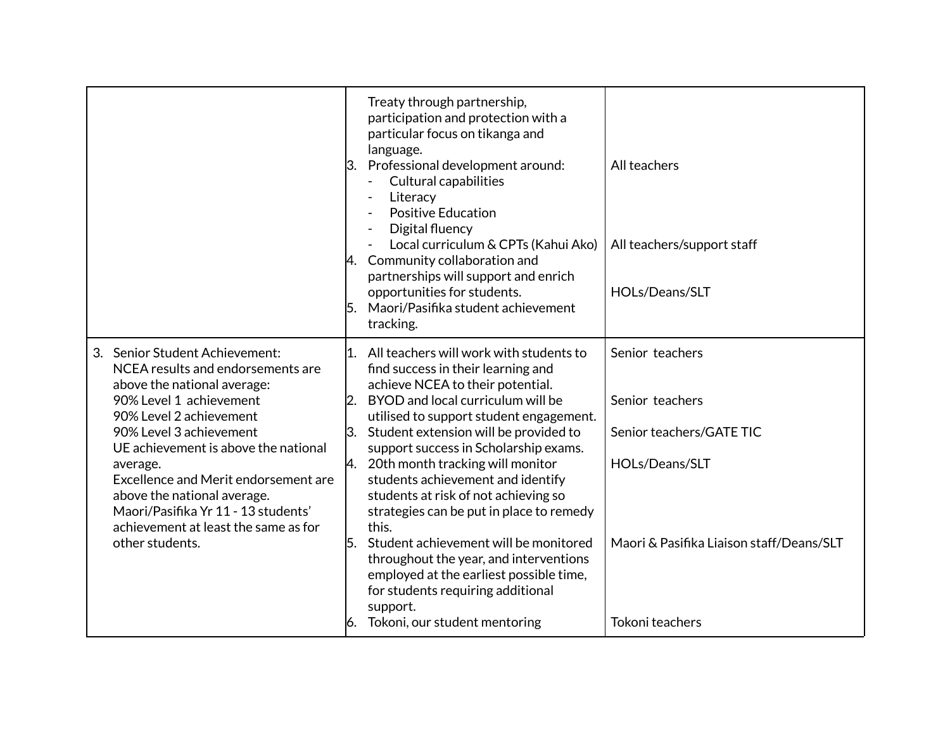|                                                                                                                                                                                                                                                                                                                                                                                                                  | Treaty through partnership,<br>participation and protection with a<br>particular focus on tikanga and<br>language.<br>Professional development around:<br>β.<br><b>Cultural capabilities</b><br>Literacy<br><b>Positive Education</b><br>Digital fluency<br>Local curriculum & CPTs (Kahui Ako)<br>4. Community collaboration and<br>partnerships will support and enrich<br>opportunities for students.<br>Maori/Pasifika student achievement<br>l5.<br>tracking.                                                                                                                                                                                                                           | All teachers<br>All teachers/support staff<br>HOLs/Deans/SLT                                                                                    |
|------------------------------------------------------------------------------------------------------------------------------------------------------------------------------------------------------------------------------------------------------------------------------------------------------------------------------------------------------------------------------------------------------------------|----------------------------------------------------------------------------------------------------------------------------------------------------------------------------------------------------------------------------------------------------------------------------------------------------------------------------------------------------------------------------------------------------------------------------------------------------------------------------------------------------------------------------------------------------------------------------------------------------------------------------------------------------------------------------------------------|-------------------------------------------------------------------------------------------------------------------------------------------------|
| 3. Senior Student Achievement:<br>NCEA results and endorsements are<br>above the national average:<br>90% Level 1 achievement<br>90% Level 2 achievement<br>90% Level 3 achievement<br>UE achievement is above the national<br>average.<br>Excellence and Merit endorsement are<br>above the national average.<br>Maori/Pasifika Yr 11 - 13 students'<br>achievement at least the same as for<br>other students. | 1. All teachers will work with students to<br>find success in their learning and<br>achieve NCEA to their potential.<br>2. BYOD and local curriculum will be<br>utilised to support student engagement.<br>Student extension will be provided to<br>support success in Scholarship exams.<br>20th month tracking will monitor<br>И.<br>students achievement and identify<br>students at risk of not achieving so<br>strategies can be put in place to remedy<br>this.<br>Student achievement will be monitored<br>l5.<br>throughout the year, and interventions<br>employed at the earliest possible time,<br>for students requiring additional<br>support.<br>Tokoni, our student mentoring | Senior teachers<br>Senior teachers<br>Senior teachers/GATE TIC<br>HOLs/Deans/SLT<br>Maori & Pasifika Liaison staff/Deans/SLT<br>Tokoni teachers |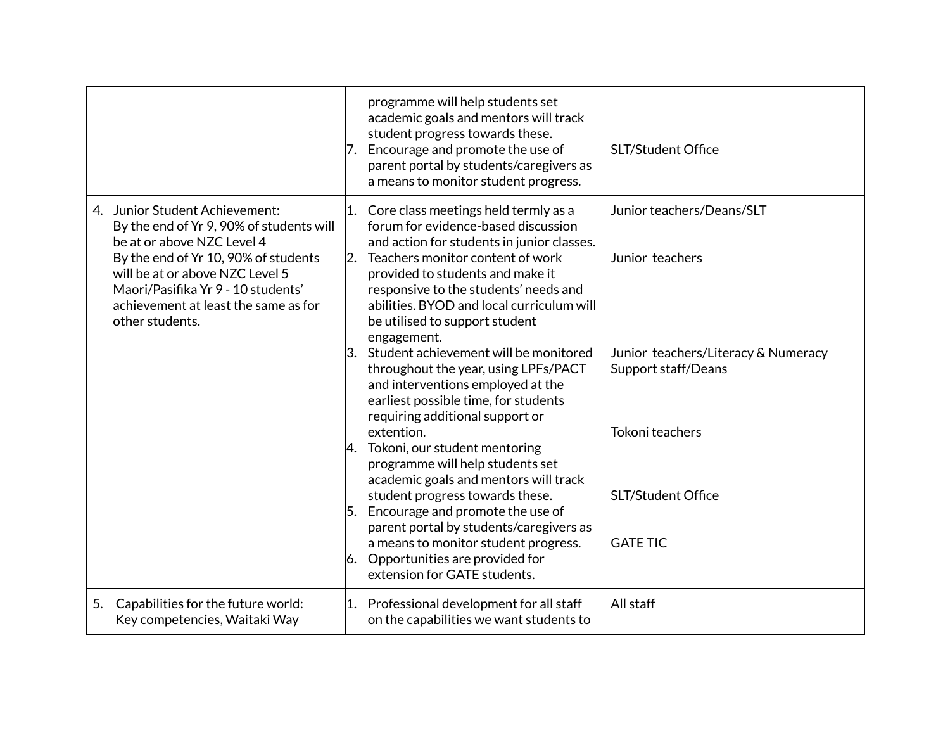|                                                                                 |                                                                                                                                                                                                   |           | programme will help students set<br>academic goals and mentors will track<br>student progress towards these.<br>7. Encourage and promote the use of<br>parent portal by students/caregivers as<br>a means to monitor student progress.                                                                                                                                                                                                                                                                                                                                                                                                                                                                                                                                                                                                                                                                        | SLT/Student Office                                                                                                                                                     |
|---------------------------------------------------------------------------------|---------------------------------------------------------------------------------------------------------------------------------------------------------------------------------------------------|-----------|---------------------------------------------------------------------------------------------------------------------------------------------------------------------------------------------------------------------------------------------------------------------------------------------------------------------------------------------------------------------------------------------------------------------------------------------------------------------------------------------------------------------------------------------------------------------------------------------------------------------------------------------------------------------------------------------------------------------------------------------------------------------------------------------------------------------------------------------------------------------------------------------------------------|------------------------------------------------------------------------------------------------------------------------------------------------------------------------|
| 4. Junior Student Achievement:<br>be at or above NZC Level 4<br>other students. | By the end of Yr 9, 90% of students will<br>By the end of Yr 10, 90% of students<br>will be at or above NZC Level 5<br>Maori/Pasifika Yr 9 - 10 students'<br>achievement at least the same as for | 11.<br>2. | Core class meetings held termly as a<br>forum for evidence-based discussion<br>and action for students in junior classes.<br>Teachers monitor content of work<br>provided to students and make it<br>responsive to the students' needs and<br>abilities. BYOD and local curriculum will<br>be utilised to support student<br>engagement.<br>3. Student achievement will be monitored<br>throughout the year, using LPFs/PACT<br>and interventions employed at the<br>earliest possible time, for students<br>requiring additional support or<br>extention.<br>4. Tokoni, our student mentoring<br>programme will help students set<br>academic goals and mentors will track<br>student progress towards these.<br>5. Encourage and promote the use of<br>parent portal by students/caregivers as<br>a means to monitor student progress.<br>6. Opportunities are provided for<br>extension for GATE students. | Junior teachers/Deans/SLT<br>Junior teachers<br>Junior teachers/Literacy & Numeracy<br>Support staff/Deans<br>Tokoni teachers<br>SLT/Student Office<br><b>GATE TIC</b> |
| 5.                                                                              | Capabilities for the future world:<br>Key competencies, Waitaki Way                                                                                                                               | 1.        | Professional development for all staff<br>on the capabilities we want students to                                                                                                                                                                                                                                                                                                                                                                                                                                                                                                                                                                                                                                                                                                                                                                                                                             | All staff                                                                                                                                                              |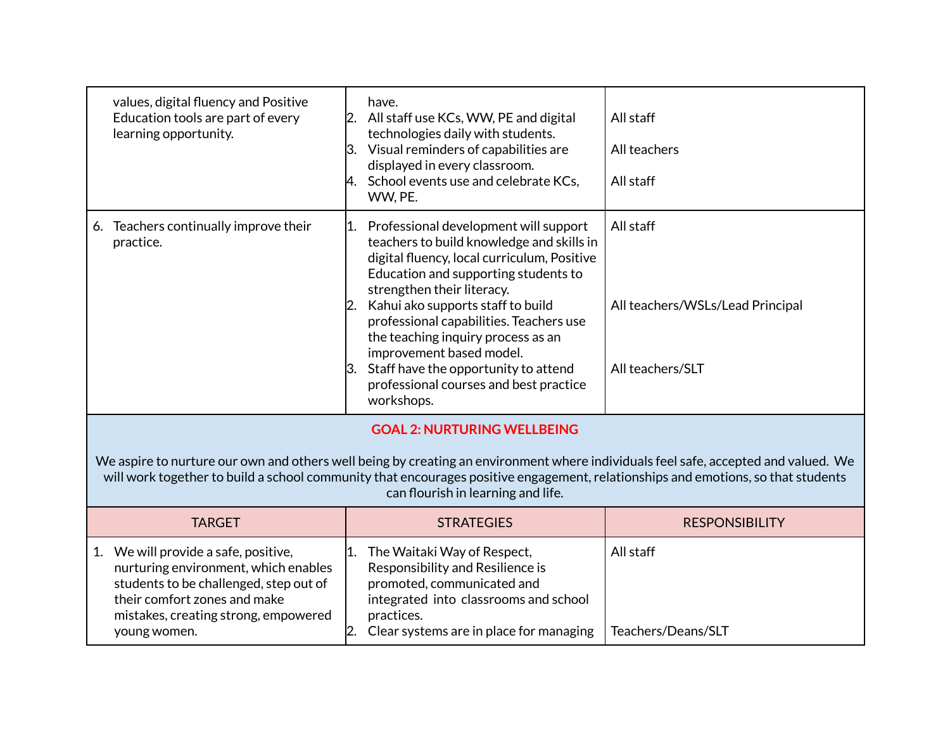| values, digital fluency and Positive<br>Education tools are part of every<br>learning opportunity.                                                                                                                                                                                                                                                 | have.<br>2. All staff use KCs, WW, PE and digital<br>technologies daily with students.<br>3. Visual reminders of capabilities are<br>displayed in every classroom.<br>4. School events use and celebrate KCs,<br>WW, PE.                                                                                                                                                                                                                                           | All staff<br>All teachers<br>All staff                            |  |
|----------------------------------------------------------------------------------------------------------------------------------------------------------------------------------------------------------------------------------------------------------------------------------------------------------------------------------------------------|--------------------------------------------------------------------------------------------------------------------------------------------------------------------------------------------------------------------------------------------------------------------------------------------------------------------------------------------------------------------------------------------------------------------------------------------------------------------|-------------------------------------------------------------------|--|
| 6. Teachers continually improve their<br>practice.                                                                                                                                                                                                                                                                                                 | 1. Professional development will support<br>teachers to build knowledge and skills in<br>digital fluency, local curriculum, Positive<br>Education and supporting students to<br>strengthen their literacy.<br>2. Kahui ako supports staff to build<br>professional capabilities. Teachers use<br>the teaching inquiry process as an<br>improvement based model.<br>3. Staff have the opportunity to attend<br>professional courses and best practice<br>workshops. | All staff<br>All teachers/WSLs/Lead Principal<br>All teachers/SLT |  |
| <b>GOAL 2: NURTURING WELLBEING</b><br>We aspire to nurture our own and others well being by creating an environment where individuals feel safe, accepted and valued. We<br>will work together to build a school community that encourages positive engagement, relationships and emotions, so that students<br>can flourish in learning and life. |                                                                                                                                                                                                                                                                                                                                                                                                                                                                    |                                                                   |  |
| <b>TARGET</b>                                                                                                                                                                                                                                                                                                                                      | <b>STRATEGIES</b>                                                                                                                                                                                                                                                                                                                                                                                                                                                  | <b>RESPONSIBILITY</b>                                             |  |
| 1. We will provide a safe, positive,<br>nurturing environment, which enables<br>students to be challenged, step out of<br>their comfort zones and make<br>mistakes, creating strong, empowered<br>young women.                                                                                                                                     | 11.<br>The Waitaki Way of Respect,<br>Responsibility and Resilience is<br>promoted, communicated and<br>integrated into classrooms and school<br>practices.<br>Clear systems are in place for managing<br>2.                                                                                                                                                                                                                                                       | All staff<br>Teachers/Deans/SLT                                   |  |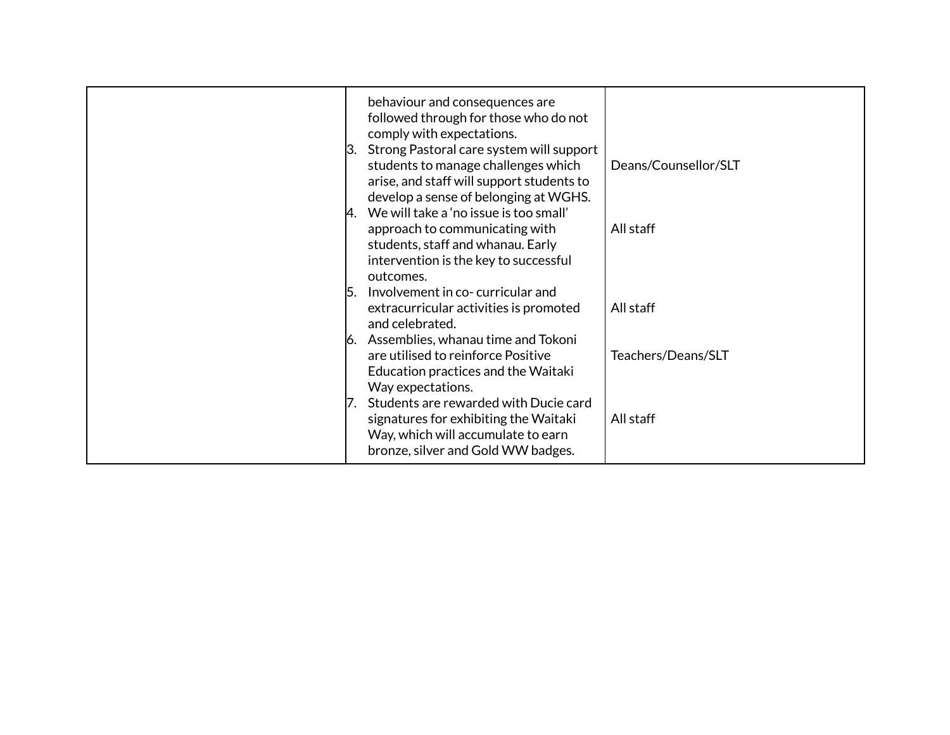| behaviour and consequences are<br>followed through for those who do not<br>comply with expectations.<br>Strong Pastoral care system will support<br>13.<br>students to manage challenges which<br>arise, and staff will support students to<br>develop a sense of belonging at WGHS.<br>We will take a 'no issue is too small'<br>approach to communicating with<br>students, staff and whanau. Early<br>intervention is the key to successful<br>outcomes.<br>Involvement in co-curricular and<br>l5.<br>extracurricular activities is promoted<br>and celebrated.<br>Assemblies, whanau time and Tokoni<br>are utilised to reinforce Positive<br>Education practices and the Waitaki | Deans/Counsellor/SLT<br>All staff<br>All staff<br>Teachers/Deans/SLT |
|----------------------------------------------------------------------------------------------------------------------------------------------------------------------------------------------------------------------------------------------------------------------------------------------------------------------------------------------------------------------------------------------------------------------------------------------------------------------------------------------------------------------------------------------------------------------------------------------------------------------------------------------------------------------------------------|----------------------------------------------------------------------|
| Way expectations.<br>Students are rewarded with Ducie card<br>signatures for exhibiting the Waitaki<br>Way, which will accumulate to earn<br>bronze, silver and Gold WW badges.                                                                                                                                                                                                                                                                                                                                                                                                                                                                                                        | All staff                                                            |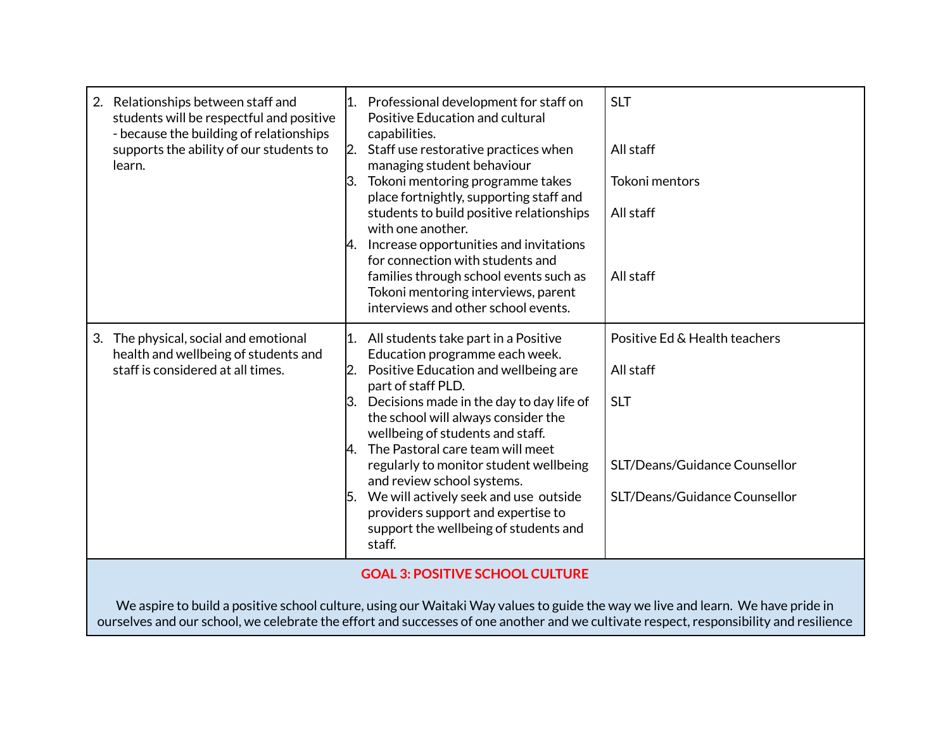| students will be respectful and positive<br>- because the building of relationships<br>supports the ability of our students to<br>learn. | capabilities.<br>Staff use restorative practices when<br>$\mathsf{I2}.$<br>managing student behaviour<br>Tokoni mentoring programme takes<br>ß.<br>place fortnightly, supporting staff and<br>students to build positive relationships<br>with one another.<br>Increase opportunities and invitations<br>И.<br>for connection with students and<br>families through school events such as<br>Tokoni mentoring interviews, parent<br>interviews and other school events.                                                                        | All staff<br><b>Tokoni mentors</b><br>All staff<br>All staff                                                               |
|------------------------------------------------------------------------------------------------------------------------------------------|------------------------------------------------------------------------------------------------------------------------------------------------------------------------------------------------------------------------------------------------------------------------------------------------------------------------------------------------------------------------------------------------------------------------------------------------------------------------------------------------------------------------------------------------|----------------------------------------------------------------------------------------------------------------------------|
| The physical, social and emotional<br>3.<br>health and wellbeing of students and<br>staff is considered at all times.                    | All students take part in a Positive<br>l1.<br>Education programme each week.<br>Positive Education and wellbeing are<br>12.<br>part of staff PLD.<br>$\beta$ . Decisions made in the day to day life of<br>the school will always consider the<br>wellbeing of students and staff.<br>The Pastoral care team will meet<br>И.<br>regularly to monitor student wellbeing<br>and review school systems.<br>We will actively seek and use outside<br>15.<br>providers support and expertise to<br>support the wellbeing of students and<br>staff. | Positive Ed & Health teachers<br>All staff<br><b>SLT</b><br>SLT/Deans/Guidance Counsellor<br>SLT/Deans/Guidance Counsellor |

We aspire to build a positive school culture, using our Waitaki Way values to guide the way we live and learn. We have pride in ourselves and our school, we celebrate the effort and successes of one another and we cultivate respect, responsibility and resilience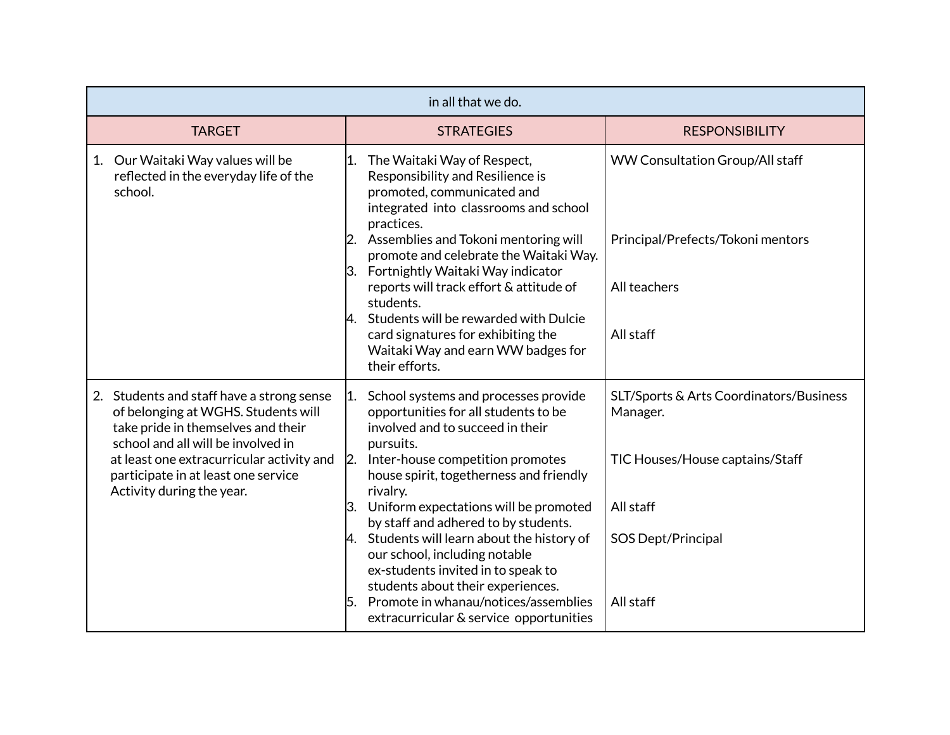| in all that we do.                                                                                                                                                                                                                                                                                                                                                                              |                                                                                                          |  |
|-------------------------------------------------------------------------------------------------------------------------------------------------------------------------------------------------------------------------------------------------------------------------------------------------------------------------------------------------------------------------------------------------|----------------------------------------------------------------------------------------------------------|--|
| <b>STRATEGIES</b>                                                                                                                                                                                                                                                                                                                                                                               | <b>RESPONSIBILITY</b>                                                                                    |  |
| The Waitaki Way of Respect,<br>11.<br>Responsibility and Resilience is<br>promoted, communicated and<br>integrated into classrooms and school<br>practices.<br>2. Assemblies and Tokoni mentoring will<br>promote and celebrate the Waitaki Way.<br>3. Fortnightly Waitaki Way indicator<br>reports will track effort & attitude of<br>students.<br>Students will be rewarded with Dulcie<br>4. | WW Consultation Group/All staff<br>Principal/Prefects/Tokoni mentors<br>All teachers                     |  |
| card signatures for exhibiting the<br>Waitaki Way and earn WW badges for<br>their efforts.                                                                                                                                                                                                                                                                                                      | All staff                                                                                                |  |
| School systems and processes provide<br> 1.<br>opportunities for all students to be<br>involved and to succeed in their                                                                                                                                                                                                                                                                         | SLT/Sports & Arts Coordinators/Business<br>Manager.                                                      |  |
| Inter-house competition promotes<br>$\mathbf{2}$<br>house spirit, togetherness and friendly                                                                                                                                                                                                                                                                                                     | TIC Houses/House captains/Staff                                                                          |  |
| Uniform expectations will be promoted<br>3.                                                                                                                                                                                                                                                                                                                                                     | All staff                                                                                                |  |
| Students will learn about the history of<br>4.<br>our school, including notable<br>ex-students invited in to speak to<br>students about their experiences.<br>Promote in whanau/notices/assemblies<br>15.                                                                                                                                                                                       | <b>SOS Dept/Principal</b><br>All staff                                                                   |  |
|                                                                                                                                                                                                                                                                                                                                                                                                 | pursuits.<br>rivalry.<br>by staff and adhered to by students.<br>extracurricular & service opportunities |  |